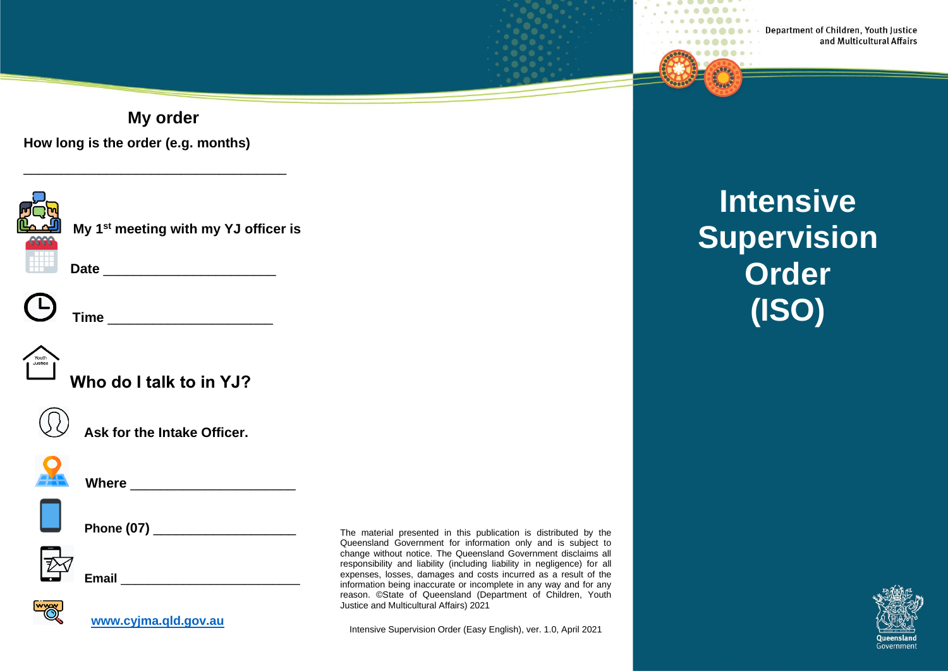Department of Children, Youth Justice and Multicultural Affairs

**My order**



\_\_\_\_\_\_\_\_\_\_\_\_\_\_\_\_\_\_\_\_\_\_\_\_\_\_\_\_\_\_\_\_\_\_\_





**Time and the set of the set of the set of the set of the set of the set of the set of the set of the set of the set of the set of the set of the set of the set of the set of the set of the set of the set of the set of t** 



**Who do I talk to in YJ?**

**Date** \_\_\_\_\_\_\_\_\_\_\_\_\_\_\_\_\_\_\_\_\_\_\_



**Ask for the Intake Officer.**



**Where** \_\_\_\_\_\_\_\_\_\_\_\_\_\_\_\_\_\_\_\_\_\_\_\_



 **Phone (07)** \_\_\_\_\_\_\_\_\_\_\_\_\_\_\_\_\_\_\_



**[www.cyjma.qld.gov.au](http://www.cyjma.qld.gov.au/)**

**Email**  $\blacksquare$ 

The material presented in this publication is distributed by the Queensland Government for information only and is subject to change without notice. The Queensland Government disclaims all responsibility and liability (including liability in negligence) for all expenses, losses, damages and costs incurred as a result of the information being inaccurate or incomplete in any way and for any reason. ©State of Queensland (Department of Children, Youth Justice and Multicultural Affairs) 2021

Intensive Supervision Order (Easy English), ver. 1.0, April 2021

**Intensive Supervision Order (ISO)**